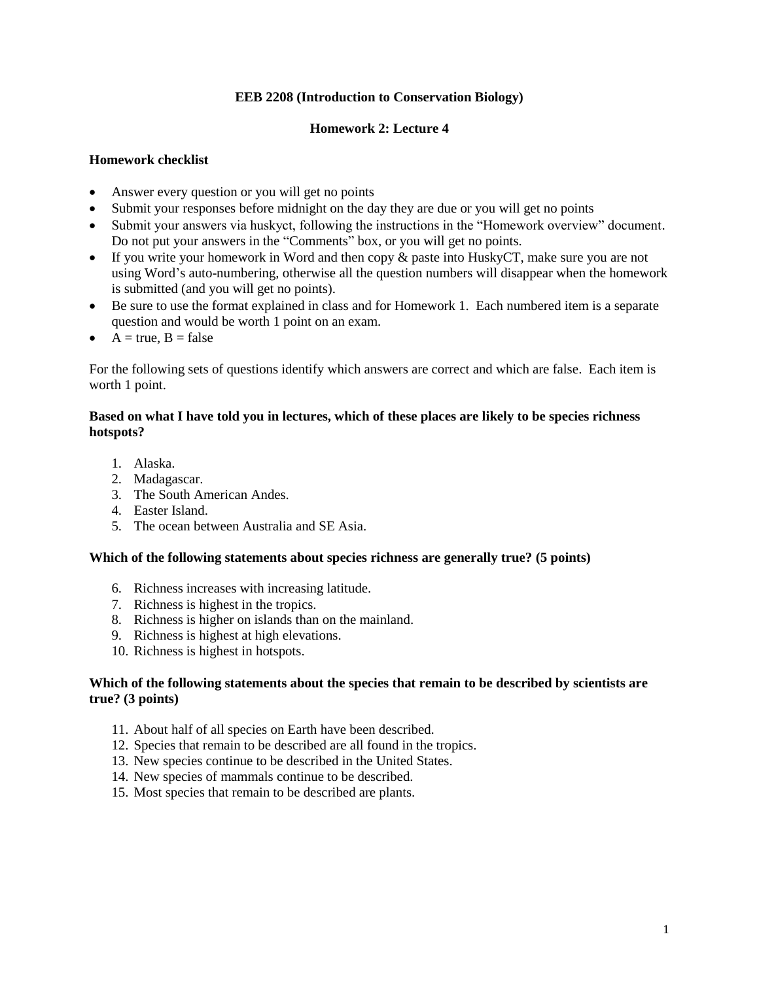## **EEB 2208 (Introduction to Conservation Biology)**

#### **Homework 2: Lecture 4**

# **Homework checklist**

- Answer every question or you will get no points
- Submit your responses before midnight on the day they are due or you will get no points
- Submit your answers via huskyct, following the instructions in the "Homework overview" document. Do not put your answers in the "Comments" box, or you will get no points.
- If you write your homework in Word and then copy & paste into HuskyCT, make sure you are not using Word's auto-numbering, otherwise all the question numbers will disappear when the homework is submitted (and you will get no points).
- Be sure to use the format explained in class and for Homework 1. Each numbered item is a separate question and would be worth 1 point on an exam.
- $A = true, B = false$

For the following sets of questions identify which answers are correct and which are false. Each item is worth 1 point.

# **Based on what I have told you in lectures, which of these places are likely to be species richness hotspots?**

- 1. Alaska.
- 2. Madagascar.
- 3. The South American Andes.
- 4. Easter Island.
- 5. The ocean between Australia and SE Asia.

#### **Which of the following statements about species richness are generally true? (5 points)**

- 6. Richness increases with increasing latitude.
- 7. Richness is highest in the tropics.
- 8. Richness is higher on islands than on the mainland.
- 9. Richness is highest at high elevations.
- 10. Richness is highest in hotspots.

#### **Which of the following statements about the species that remain to be described by scientists are true? (3 points)**

- 11. About half of all species on Earth have been described.
- 12. Species that remain to be described are all found in the tropics.
- 13. New species continue to be described in the United States.
- 14. New species of mammals continue to be described.
- 15. Most species that remain to be described are plants.